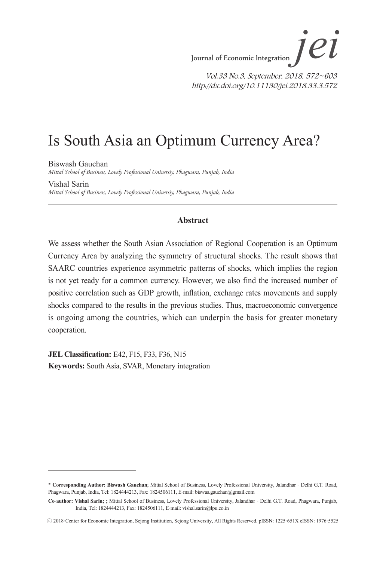# Is South Asia an Optimum Currency Area?

Biswash Gauchan *Mittal School of Business, Lovely Professional Universiy, Phagwara, Punjab, India*

Vishal Sarin *Mittal School of Business, Lovely Professional Universiy, Phagwara, Punjab, India*

### **Abstract**

We assess whether the South Asian Association of Regional Cooperation is an Optimum Currency Area by analyzing the symmetry of structural shocks. The result shows that SAARC countries experience asymmetric patterns of shocks, which implies the region is not yet ready for a common currency. However, we also find the increased number of positive correlation such as GDP growth, inflation, exchange rates movements and supply shocks compared to the results in the previous studies. Thus, macroeconomic convergence is ongoing among the countries, which can underpin the basis for greater monetary cooperation.

**JEL Classification:** E42, F15, F33, F36, N15 **Keywords:** South Asia, SVAR, Monetary integration

**<sup>\*</sup> Corresponding Author: Biswash Gauchan**; Mittal School of Business, Lovely Professional University, Jalandhar - Delhi G.T. Road, Phagwara, Punjab, India, Tel: 1824444213, Fax: 1824506111, E-mail: biswas.gauchan@gmail.com

**Co-author: Vishal Sarin; ;** Mittal School of Business, Lovely Professional University, Jalandhar - Delhi G.T. Road, Phagwara, Punjab, India, Tel: 1824444213, Fax: 1824506111, E-mail: vishal.sarin@lpu.co.in

<sup>ⓒ</sup> 2018-Center for Economic Integration, Sejong Institution, Sejong University, All Rights Reserved. pISSN: 1225-651X eISSN: 1976-5525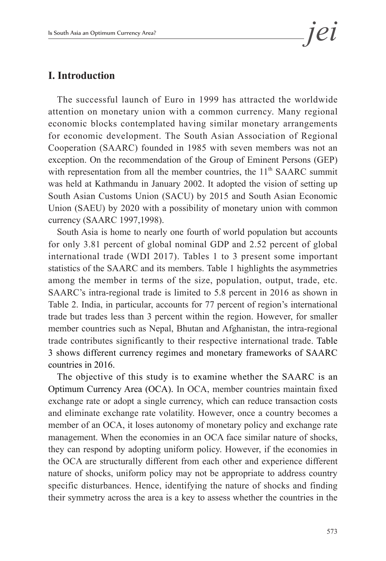# **I. Introduction**

The successful launch of Euro in 1999 has attracted the worldwide attention on monetary union with a common currency. Many regional economic blocks contemplated having similar monetary arrangements for economic development. The South Asian Association of Regional Cooperation (SAARC) founded in 1985 with seven members was not an exception. On the recommendation of the Group of Eminent Persons (GEP) with representation from all the member countries, the  $11<sup>th</sup>$  SAARC summit was held at Kathmandu in January 2002. It adopted the vision of setting up South Asian Customs Union (SACU) by 2015 and South Asian Economic Union (SAEU) by 2020 with a possibility of monetary union with common currency (SAARC 1997,1998).

South Asia is home to nearly one fourth of world population but accounts for only 3.81 percent of global nominal GDP and 2.52 percent of global international trade (WDI 2017). Tables 1 to 3 present some important statistics of the SAARC and its members. Table 1 highlights the asymmetries among the member in terms of the size, population, output, trade, etc. SAARC's intra-regional trade is limited to 5.8 percent in 2016 as shown in Table 2. India, in particular, accounts for 77 percent of region's international trade but trades less than 3 percent within the region. However, for smaller member countries such as Nepal, Bhutan and Afghanistan, the intra-regional trade contributes significantly to their respective international trade. Table 3 shows different currency regimes and monetary frameworks of SAARC countries in 2016.

The objective of this study is to examine whether the SAARC is an Optimum Currency Area (OCA). In OCA, member countries maintain fixed exchange rate or adopt a single currency, which can reduce transaction costs and eliminate exchange rate volatility. However, once a country becomes a member of an OCA, it loses autonomy of monetary policy and exchange rate management. When the economies in an OCA face similar nature of shocks, they can respond by adopting uniform policy. However, if the economies in the OCA are structurally different from each other and experience different nature of shocks, uniform policy may not be appropriate to address country specific disturbances. Hence, identifying the nature of shocks and finding their symmetry across the area is a key to assess whether the countries in the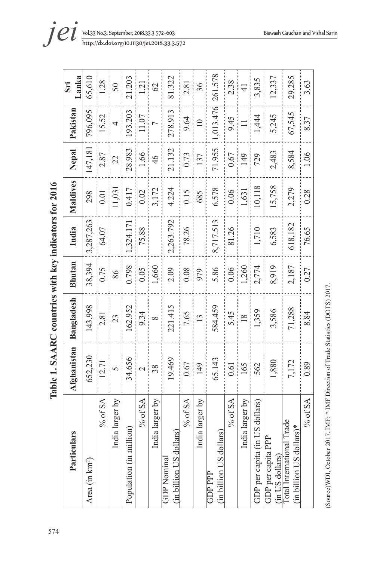| $\frac{1}{2}$<br>i<br>$-$<br><b>NO BOOK CALLS</b><br>$\mathbf{I}$ |
|-------------------------------------------------------------------|
| CAADC<br>Table 1. S.                                              |
|                                                                   |
| $\overline{\mathbf{5}}$<br>4<br>7<br>l                            |

| Particulars                                             | Afghanistan              | Bangladesh     | <b>Bhutan</b> | India     | Maldives | Nepal   | Pakistan       | Lanka<br>Sri  |
|---------------------------------------------------------|--------------------------|----------------|---------------|-----------|----------|---------|----------------|---------------|
| Area (in km <sup>2</sup> )                              | 652,230                  | 143,998        | 38,394        | 3,287,263 | 298      | 147,181 | 796,095        | 65,610        |
| $%$ of SA                                               | 12.71                    | 2.81           | 0.75          | 64.07     | 0.01     | 2.87    | 15.52          | 1.28          |
| India larger by                                         | $\overline{6}$           | 23             | 86            |           | 11,031   | 22      | 4              | 50            |
| Population (in million)                                 | 34.656                   | 162.952        | 0.798         | ,324.171  | 0.417    | 28.983  | 193.203        | 21.203        |
| $\%$ of SA                                              | $\overline{\mathcal{C}}$ | 9.34           | 0.05          | 75.88     | 0.02     | 1.66    | 11.07          | 1.21          |
| India larger by                                         | 38                       | $\infty$       | 1,660         |           | 3,172    | 46      |                | 62            |
| (in billion US dollars)<br><b>GDP</b> Nominal           | 19.469                   | 221.415        | 2.09          | 2,263.792 | 4.224    | 21.132  | 278.913        | 81.322        |
| $%$ of SA                                               | 0.67                     | 7.65           | 0.08          | 78.26     | 0.15     | 0.73    | 9.64           | 2.81          |
| India larger by                                         | 149                      | $\frac{13}{2}$ | 979           |           | 685      | 137     | $\frac{10}{1}$ | 36            |
| (in billion US dollars)<br>GDPPPP                       | 65.143                   | 584.459        | 5.86          | 8,717.513 | 6.578    | 71.955  | 1,013.476      | 261.578       |
| $%$ of SA                                               | 0.61                     | 5.45           | 0.06          | 81.26     | 0.06     | 0.67    | 9.45           | 2.38          |
| India larger by                                         | 165                      | $\frac{8}{18}$ | 1,260         |           | 1,631    | 149     | $\Box$         | $\frac{1}{4}$ |
| GDP per capita (in US dollars)                          | 562                      | 1,359          | 2,774         | 1,710     | 10,118   | 729     | 1,444          | 3,835         |
| GDP per capita PPP<br>(in US dollars)                   | 1,880                    | 3,586          | 8,919         | 6,583     | 15,758   | 2,483   | 5,245          | 12,337        |
| Total International Trade<br>$(in billion US dollars)*$ | 7,172                    | 71,288         | 2,187         | 618,182   | 2,279    | 8,584   | 67,545         | 29,285        |
| $%$ of SA                                               | 0.89                     | 8.84           | 0.27          | 76.65     | 0.28     | 1.06    | 8.37           | 3.63          |

(Source) WDI, October 2017, IMF; \* IMF Direction of Trade Statistics (DOTS) 2017. (Source)WDI, October 2017, IMF; \* IMF Direction of Trade Statistics (DOTS) 2017.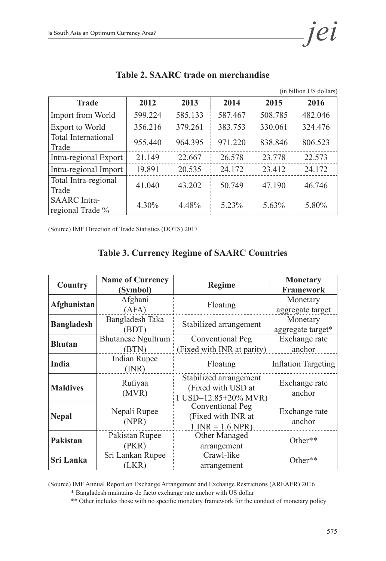Total Intra-regional

SAARC Intra-

| Is South Asia an Optimum Currency Area? |                                     |         |         |         | 1el                     |
|-----------------------------------------|-------------------------------------|---------|---------|---------|-------------------------|
|                                         | Table 2. SAARC trade on merchandise |         |         |         | (in billion US dollars) |
| <b>Trade</b>                            | 2012                                | 2013    | 2014    | 2015    | 2016                    |
| <b>Import from World</b>                | 599.224                             | 585.133 | 587.467 | 508.785 | 482.046                 |
| <b>Export to World</b>                  | 356.216                             | 379.261 | 383.753 | 330.061 | 324.476                 |
| <b>Total International</b><br>Trade     | 955.440                             | 964.395 | 971 220 | 838.846 | 806.523                 |

### Table 2

Intra-regional Export 21.149 22.667 26.578 23.778 22.573 Intra-regional Import 19.891 20.535 24.172 23.412 24.172

Trade 10 1040 43.202 50.749 47.190 46.746

regional Trade % 4.30% 4.48% 5.23% 5.63% 5.80%

(Source) IMF Direction of Trade Statistics (DOTS) 2017

### **Table 3. Currency Regime of SAARC Countries**

|                   | <b>Name of Currency</b>                                          |                                            | <b>Monetary</b>            |
|-------------------|------------------------------------------------------------------|--------------------------------------------|----------------------------|
| <b>Country</b>    | (Symbol)                                                         | <b>Regime</b>                              | <b>Framework</b>           |
| Afghanistan       | Afghani                                                          | Floating                                   | Monetary                   |
|                   | (AFA)                                                            |                                            | aggregate target           |
|                   | Bangladesh Taka                                                  | Stabilized arrangement                     | Monetary                   |
| <b>Bangladesh</b> | (BDT)                                                            |                                            | aggregate target*          |
| <b>Bhutan</b>     | <b>Bhutanese Ngultrum</b>                                        | Conventional Peg                           | Exchange rate              |
|                   | (BTN)                                                            | (Fixed with INR at parity)                 | anchor                     |
| India             | Indian Rupee                                                     | Floating                                   | <b>Inflation Targeting</b> |
|                   | (MR)                                                             |                                            |                            |
|                   | Stabilized arrangement<br>Rufiyaa<br>(Fixed with USD at<br>(MVR) |                                            | Exchange rate              |
| <b>Maldives</b>   |                                                                  |                                            | anchor                     |
|                   |                                                                  | $1 \text{ USD} = 12.85 + 20\% \text{ MVR}$ |                            |
|                   | Nepali Rupee                                                     | Conventional Peg                           | Exchange rate              |
| <b>Nepal</b>      | (NPR)                                                            | (Fixed with INR at                         | anchor                     |
|                   |                                                                  | $1$ INR = 1.6 NPR)                         |                            |
| Pakistan          | Pakistan Rupee                                                   | Other Managed                              | Other**                    |
|                   | (PKR)                                                            | arrangement                                |                            |
| Sri Lanka         | Sri Lankan Rupee                                                 | Crawl-like                                 | Other**                    |
|                   | (LKR)                                                            | arrangement                                |                            |

(Source) IMF Annual Report on Exchange Arrangement and Exchange Restrictions (AREAER) 2016

\* Bangladesh maintains de facto exchange rate anchor with US dollar

\*\* Other includes those with no specific monetary framework for the conduct of monetary policy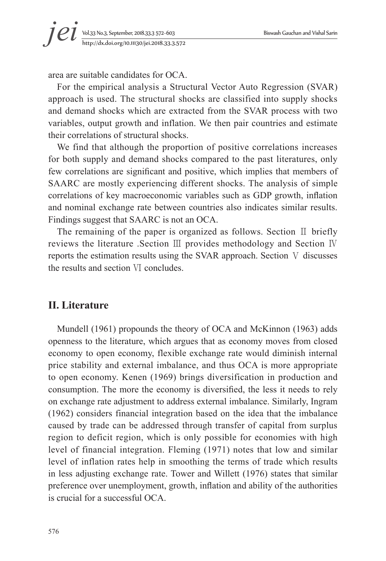area are suitable candidates for OCA.

For the empirical analysis a Structural Vector Auto Regression (SVAR) approach is used. The structural shocks are classified into supply shocks and demand shocks which are extracted from the SVAR process with two variables, output growth and inflation. We then pair countries and estimate their correlations of structural shocks.

We find that although the proportion of positive correlations increases for both supply and demand shocks compared to the past literatures, only few correlations are significant and positive, which implies that members of SAARC are mostly experiencing different shocks. The analysis of simple correlations of key macroeconomic variables such as GDP growth, inflation and nominal exchange rate between countries also indicates similar results. Findings suggest that SAARC is not an OCA.

The remaining of the paper is organized as follows. Section Ⅱ briefly reviews the literature .Section Ⅲ provides methodology and Section Ⅳ reports the estimation results using the SVAR approach. Section Ⅴ discusses the results and section Ⅵ concludes.

# **II. Literature**

Mundell (1961) propounds the theory of OCA and McKinnon (1963) adds openness to the literature, which argues that as economy moves from closed economy to open economy, flexible exchange rate would diminish internal price stability and external imbalance, and thus OCA is more appropriate to open economy. Kenen (1969) brings diversification in production and consumption. The more the economy is diversified, the less it needs to rely on exchange rate adjustment to address external imbalance. Similarly, Ingram (1962) considers financial integration based on the idea that the imbalance caused by trade can be addressed through transfer of capital from surplus region to deficit region, which is only possible for economies with high level of financial integration. Fleming (1971) notes that low and similar level of inflation rates help in smoothing the terms of trade which results in less adjusting exchange rate. Tower and Willett (1976) states that similar preference over unemployment, growth, inflation and ability of the authorities is crucial for a successful OCA.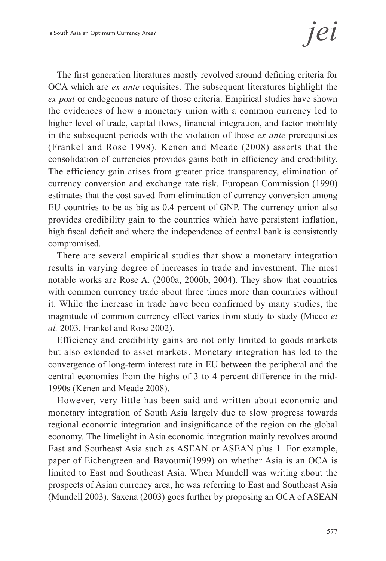The first generation literatures mostly revolved around defining criteria for OCA which are *ex ante* requisites. The subsequent literatures highlight the *ex post* or endogenous nature of those criteria. Empirical studies have shown the evidences of how a monetary union with a common currency led to higher level of trade, capital flows, financial integration, and factor mobility in the subsequent periods with the violation of those *ex ante* prerequisites (Frankel and Rose 1998). Kenen and Meade (2008) asserts that the consolidation of currencies provides gains both in efficiency and credibility. The efficiency gain arises from greater price transparency, elimination of currency conversion and exchange rate risk. European Commission (1990) estimates that the cost saved from elimination of currency conversion among EU countries to be as big as 0.4 percent of GNP. The currency union also provides credibility gain to the countries which have persistent inflation, high fiscal deficit and where the independence of central bank is consistently compromised.

There are several empirical studies that show a monetary integration results in varying degree of increases in trade and investment. The most notable works are Rose A. (2000a, 2000b, 2004). They show that countries with common currency trade about three times more than countries without it. While the increase in trade have been confirmed by many studies, the magnitude of common currency effect varies from study to study (Micco *et al.* 2003, Frankel and Rose 2002).

Efficiency and credibility gains are not only limited to goods markets but also extended to asset markets. Monetary integration has led to the convergence of long-term interest rate in EU between the peripheral and the central economies from the highs of 3 to 4 percent difference in the mid-1990s (Kenen and Meade 2008).

However, very little has been said and written about economic and monetary integration of South Asia largely due to slow progress towards regional economic integration and insignificance of the region on the global economy. The limelight in Asia economic integration mainly revolves around East and Southeast Asia such as ASEAN or ASEAN plus 1. For example, paper of Eichengreen and Bayoumi(1999) on whether Asia is an OCA is limited to East and Southeast Asia. When Mundell was writing about the prospects of Asian currency area, he was referring to East and Southeast Asia (Mundell 2003). Saxena (2003) goes further by proposing an OCA of ASEAN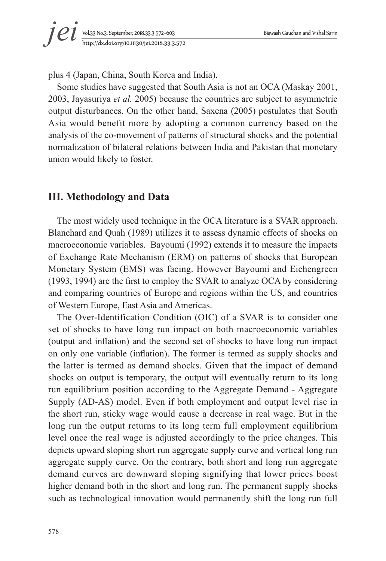

plus 4 (Japan, China, South Korea and India).

Some studies have suggested that South Asia is not an OCA (Maskay 2001, 2003, Jayasuriya *et al.* 2005) because the countries are subject to asymmetric output disturbances. On the other hand, Saxena (2005) postulates that South Asia would benefit more by adopting a common currency based on the analysis of the co-movement of patterns of structural shocks and the potential normalization of bilateral relations between India and Pakistan that monetary union would likely to foster.

# **III. Methodology and Data**

The most widely used technique in the OCA literature is a SVAR approach. Blanchard and Quah (1989) utilizes it to assess dynamic effects of shocks on macroeconomic variables. Bayoumi (1992) extends it to measure the impacts of Exchange Rate Mechanism (ERM) on patterns of shocks that European Monetary System (EMS) was facing. However Bayoumi and Eichengreen (1993, 1994) are the first to employ the SVAR to analyze OCA by considering and comparing countries of Europe and regions within the US, and countries of Western Europe, East Asia and Americas.

The Over-Identification Condition (OIC) of a SVAR is to consider one set of shocks to have long run impact on both macroeconomic variables (output and inflation) and the second set of shocks to have long run impact on only one variable (inflation). The former is termed as supply shocks and the latter is termed as demand shocks. Given that the impact of demand shocks on output is temporary, the output will eventually return to its long run equilibrium position according to the Aggregate Demand - Aggregate Supply (AD-AS) model. Even if both employment and output level rise in the short run, sticky wage would cause a decrease in real wage. But in the long run the output returns to its long term full employment equilibrium level once the real wage is adjusted accordingly to the price changes. This depicts upward sloping short run aggregate supply curve and vertical long run aggregate supply curve. On the contrary, both short and long run aggregate demand curves are downward sloping signifying that lower prices boost higher demand both in the short and long run. The permanent supply shocks such as technological innovation would permanently shift the long run full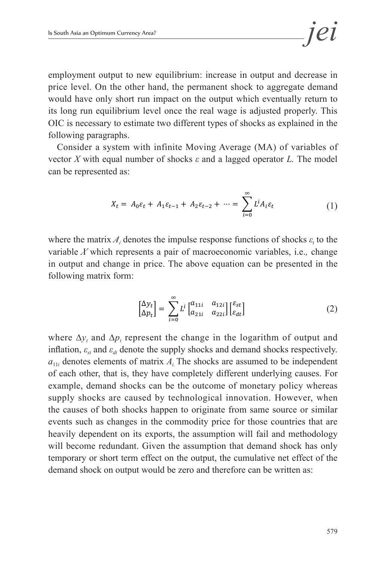employment output to new equilibrium: increase in output and decrease in price level. On the other hand, the permanent shock to aggregate demand would have only short run impact on the output which eventually return to its long run equilibrium level once the real wage is adjusted properly. This OIC is necessary to estimate two different types of shocks as explained in the following paragraphs. This is adjusted properly and wage is adjusted properly. This OIC is adjusted properly. This OIC is adjusted properly. This OIC is adjusted properly. This OIC is adjusted properly. This OIC is adjuste

employment and output level rise in the short run, sticky wage was decrease in real cause a decrease in real cause  $\alpha$ 

 $\mathcal{J}$  was adjusted accordingly to the price changes. This depicts upward slopes. This depicts upward slopes. This depicts upward slopes. This departum of the price changes. This departum of the price changes. The slope

Consider a system with infinite Moving Average (MA) of variables of vector *X* with equal number of shocks  $\varepsilon$  and a lagged operator *L*. The model can be represented as: *and a lagged* operator *a* and *a* and *a* and *a* and *a* and *a* and *a* and *a* and *a* and *a* and *a* and *a* and *a* and *a* and *a* and *a* and *a* and *a* 

$$
X_t = A_0 \varepsilon_t + A_1 \varepsilon_{t-1} + A_2 \varepsilon_{t-2} + \dots = \sum_{i=0}^{\infty} L^i A_i \varepsilon_t \tag{1}
$$

variable  $X$  which represents a pair of macroeconomic variables, i.e., change where the matrix  $A_i$  denotes the impulse response functions of shocks  $\varepsilon_t$  to the in output and change in price. The above equation can be presented in the following matrix form:

$$
\begin{bmatrix} \Delta y_t \\ \Delta p_t \end{bmatrix} = \sum_{i=0}^{\infty} L^i \begin{bmatrix} a_{11i} & a_{12i} \\ a_{21i} & a_{22i} \end{bmatrix} \begin{bmatrix} \varepsilon_{st} \\ \varepsilon_{dt} \end{bmatrix}
$$
 (2)

inflation,  $\varepsilon_{st}$  and  $\varepsilon_{dt}$  denote the supply shocks and demand shocks respectively.  $a_{11i}$  denotes elements of matrix  $A_i$ . The shocks are assumed to be independent of each other, that is, they have completely different underlying causes. For example, demand shocks can be the outcome of monetary policy whereas supply shocks are caused by technological innovation. However, when the causes of both shocks happen to originate from same source or similar events such as changes in the commodity price for those countries that are heavily dependent on its exports, the assumption will fail and methodology will become redundant. Given the assumption that demand shock has only temporary or short term effect on the output, the cumulative net effect of the where  $\Delta y_t$  and  $\Delta p_t$  represent the change in the logarithm of output and demand shock on output would be zero and therefore can be written as: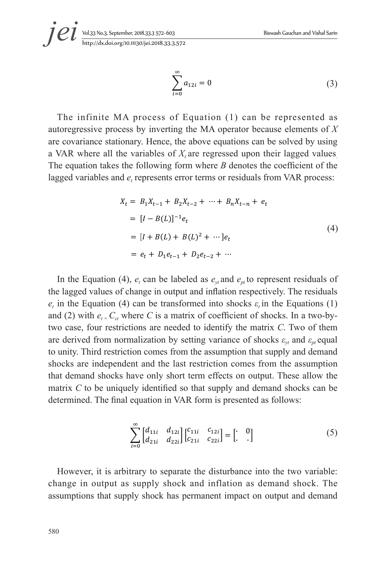$$
\sum_{i=0}^{\infty} a_{12i} = 0
$$
 (3)

The infinite MA process of Equation (1) can be represented as autoregressive process by inverting the MA operator because elements of  $X$ are covariance stationary. Hence, the above equations can be solved by using a VAR where all the variables of  $X_t$  are regressed upon their lagged values The equation takes the following form where  $B$  denotes the coefficient of the lagged variables and  $e_t$  represents error terms or residuals from VAR process:

$$
X_t = B_1 X_{t-1} + B_2 X_{t-2} + \dots + B_n X_{t-n} + e_t
$$
  
=  $[I - B(L)]^{-1} e_t$   
=  $[I + B(L) + B(L)^2 + \dots] e_t$   
=  $e_t + D_1 e_{t-1} + D_2 e_{t-2} + \dots$  (4)

In the Equation (4),  $e_t$  can be labeled as  $e_{vt}$  and  $e_{nt}$  to represent residuals of the lagged values of change in output and inflation respectively. The residuals  $e_t$  in the Equation (4) can be transformed into shocks  $\varepsilon_t$  in the Equations (1) and (2) with  $e_t = C_{\epsilon t}$  where C is a matrix of coefficient of shocks. In a two-bytwo case, four restrictions are needed to identify the matrix C. Two of them are derived from normalization by setting variance of shocks  $\varepsilon_{vt}$  and  $\varepsilon_{pt}$  equal to unity. Third restriction comes from the assumption that supply and demand shocks are independent and the last restriction comes from the assumption that demand shocks have only short term effects on output. These allow the matrix C to be uniquely identified so that supply and demand shocks can be determined. The final equation in VAR form is presented as follows:

$$
\sum_{i=0}^{\infty} \begin{bmatrix} d_{11i} & d_{12i} \\ d_{21i} & d_{22i} \end{bmatrix} \begin{bmatrix} c_{11i} & c_{12i} \\ c_{21i} & c_{22i} \end{bmatrix} = \begin{bmatrix} \cdot & 0 \\ \cdot & \cdot \end{bmatrix}
$$
 (5)

However, it is arbitrary to separate the disturbance into the two variable: change in output as supply shock and inflation as demand shock. The assumptions that supply shock has permanent impact on output and demand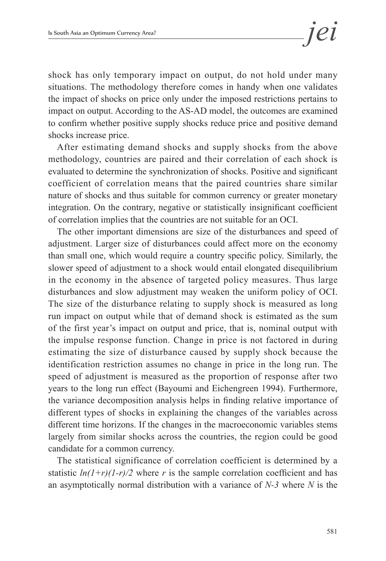shock has only temporary impact on output, do not hold under many situations. The methodology therefore comes in handy when one validates the impact of shocks on price only under the imposed restrictions pertains to impact on output. According to the AS-AD model, the outcomes are examined to confirm whether positive supply shocks reduce price and positive demand shocks increase price.

After estimating demand shocks and supply shocks from the above methodology, countries are paired and their correlation of each shock is evaluated to determine the synchronization of shocks. Positive and significant coefficient of correlation means that the paired countries share similar nature of shocks and thus suitable for common currency or greater monetary integration. On the contrary, negative or statistically insignificant coefficient of correlation implies that the countries are not suitable for an OCI.

The other important dimensions are size of the disturbances and speed of adjustment. Larger size of disturbances could affect more on the economy than small one, which would require a country specific policy. Similarly, the slower speed of adjustment to a shock would entail elongated disequilibrium in the economy in the absence of targeted policy measures. Thus large disturbances and slow adjustment may weaken the uniform policy of OCI. The size of the disturbance relating to supply shock is measured as long run impact on output while that of demand shock is estimated as the sum of the first year's impact on output and price, that is, nominal output with the impulse response function. Change in price is not factored in during estimating the size of disturbance caused by supply shock because the identification restriction assumes no change in price in the long run. The speed of adjustment is measured as the proportion of response after two years to the long run effect (Bayoumi and Eichengreen 1994). Furthermore, the variance decomposition analysis helps in finding relative importance of different types of shocks in explaining the changes of the variables across different time horizons. If the changes in the macroeconomic variables stems largely from similar shocks across the countries, the region could be good candidate for a common currency.

The statistical significance of correlation coefficient is determined by a statistic  $ln(1+r)(1-r)/2$  where *r* is the sample correlation coefficient and has an asymptotically normal distribution with a variance of *N-3* where *N* is the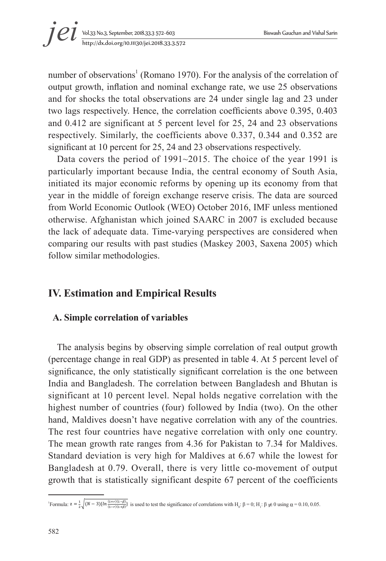number of observations<sup>1</sup> (Romano 1970). For the analysis of the correlation of output growth, inflation and nominal exchange rate, we use 25 observations and for shocks the total observations are 24 under single lag and 23 under two lags respectively. Hence, the correlation coefficients above 0.395, 0.403 and 0.412 are significant at 5 percent level for 25, 24 and 23 observations respectively. Similarly, the coefficients above 0.337, 0.344 and 0.352 are significant at 10 percent for 25, 24 and 23 observations respectively.

Data covers the period of 1991~2015. The choice of the year 1991 is particularly important because India, the central economy of South Asia, initiated its major economic reforms by opening up its economy from that year in the middle of foreign exchange reserve crisis. The data are sourced from World Economic Outlook (WEO) October 2016, IMF unless mentioned otherwise. Afghanistan which joined SAARC in 2007 is excluded because the lack of adequate data. Time-varying perspectives are considered when comparing our results with past studies (Maskey 2003, Saxena 2005) which follow similar methodologies.  $\mu$  at  $\mu$  and  $\mu$  and  $\mu$  and  $\mu$  is supply supply shown by supply shown  $\mu$  in  $\mu$  $\mathcal{L}_{\mathcal{A}}$ 

#### **IV. Estimation and Empirical Results** The statistical significance of correlation coefficient is determined by a statistic *ln(1+r)(1-*

# A. Simple correlation of variables

The analysis begins by observing simple correlation of real output growth (percentage change in real GDP) as presented in table 4. At 5 percent level of significance, the only statistically significant correlation is the one between India and Bangladesh. The correlation between Bangladesh and Bhutan is significant at 10 percent level. Nepal holds negative correlation with the highest number of countries (four) followed by India (two). On the other hand, Maldives doesn't have negative correlation with any of the countries. The rest four countries have negative correlation with only one country. The mean growth rate ranges from 4.36 for Pakistan to 7.34 for Maldives. Standard deviation is very high for Maldives at 6.67 while the lowest for Bangladesh at 0.79. Overall, there is very little co-movement of output growth that is statistically significant despite 67 percent of the coefficients  $($ percentage enange in rear  $\sigma$ D<sub>1</sub>  $\mu$  as presence in are sourced to be sourced the web sources in the con-

 $\overline{a}$ 

Formula:  $z = \frac{1}{2} \sqrt{(N-3)\{ln(\frac{(1+r)(1-\beta)}{(1-r)(1+\beta)}\}}$  is used to test the significance of correlations with  $H_0: \beta = 0$ ;  $H_1: \beta \neq 0$  using  $\alpha = 0.10, 0.05$ .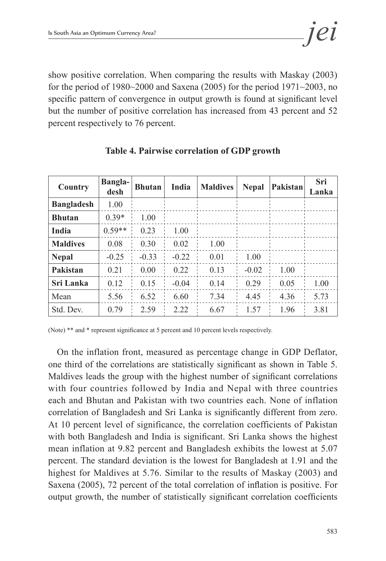show positive correlation. When comparing the results with Maskay (2003) for the period of 1980~2000 and Saxena (2005) for the period 1971~2003, no specific pattern of convergence in output growth is found at significant level but the number of positive correlation has increased from 43 percent and 52 percent respectively to 76 percent.

| Country           | <b>Bangla-</b><br>desh | <b>Bhutan</b> | India   | <b>Maldives</b> | <b>Nepal</b> | Pakistan | Sri<br>Lanka |
|-------------------|------------------------|---------------|---------|-----------------|--------------|----------|--------------|
| <b>Bangladesh</b> | 1.00                   |               |         |                 |              |          |              |
| <b>Bhutan</b>     | $0.39*$                | 1.00          |         |                 |              |          |              |
| <b>India</b>      | $0.59**$               | 0.23          | 1.00    |                 |              |          |              |
| <b>Maldives</b>   | 0.08                   | 0.30          | 0.02    | 1.00            |              |          |              |
| <b>Nepal</b>      | $-0.25$                | $-0.33$       | $-0.22$ | 0.01            | 1.00         |          |              |
| Pakistan          | 0.21                   | 0.00          | 0.22    | 0.13            | $-0.02$      | 1.00     |              |
| <b>Sri Lanka</b>  | 0.12                   | 0.15          | $-0.04$ | 0.14            | 0.29         | 0.05     | 1.00         |
| Mean              | 5.56                   | 6.52          | 6.60    | 7.34            | 4.45         | 4.36     | 5.73         |
| Std. Dev.         | 0.79                   | 2.59          | 2 2 2   | 6.67            | 1.57         | 196      | 3.81         |

|  |  | Table 4. Pairwise correlation of GDP growth |  |  |
|--|--|---------------------------------------------|--|--|
|--|--|---------------------------------------------|--|--|

(Note) \*\* and \* represent significance at 5 percent and 10 percent levels respectively.

On the inflation front, measured as percentage change in GDP Deflator, one third of the correlations are statistically significant as shown in Table 5. Maldives leads the group with the highest number of significant correlations with four countries followed by India and Nepal with three countries each and Bhutan and Pakistan with two countries each. None of inflation correlation of Bangladesh and Sri Lanka is significantly different from zero. At 10 percent level of significance, the correlation coefficients of Pakistan with both Bangladesh and India is significant. Sri Lanka shows the highest mean inflation at 9.82 percent and Bangladesh exhibits the lowest at 5.07 percent. The standard deviation is the lowest for Bangladesh at 1.91 and the highest for Maldives at 5.76. Similar to the results of Maskay (2003) and Saxena (2005), 72 percent of the total correlation of inflation is positive. For output growth, the number of statistically significant correlation coefficients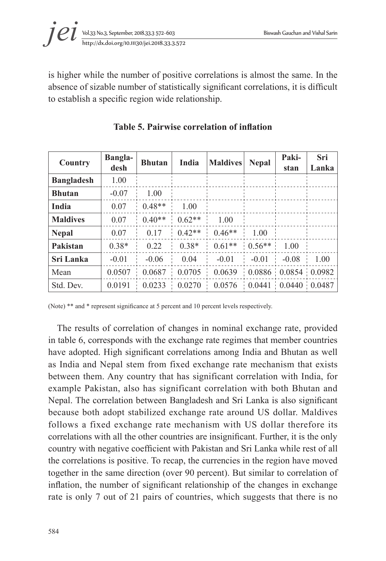

is higher while the number of positive correlations is almost the same. In the absence of sizable number of statistically significant correlations, it is difficult to establish a specific region wide relationship.

| Country           | <b>Bangla-</b><br>desh | <b>Bhutan</b> | India    | <b>Maldives</b>                     | <b>Nepal</b> | Paki-<br>stan                    | Sri<br>Lanka |
|-------------------|------------------------|---------------|----------|-------------------------------------|--------------|----------------------------------|--------------|
| <b>Bangladesh</b> | 1.00                   |               |          |                                     |              |                                  |              |
| <b>Bhutan</b>     | $-0.07$                | 1.00          |          |                                     |              |                                  |              |
| India             | 0.07                   | $0.48**$      | 1.00     |                                     |              |                                  |              |
| <b>Maldives</b>   | 0.07                   | $0.40**$      | $0.62**$ | 1.00                                |              |                                  |              |
| <b>Nepal</b>      | 0.07                   | 0.17          | $0.42**$ | $0.46**$                            | 1.00         |                                  |              |
| Pakistan          | $0.38*$                | 0.22          | $0.38*$  | $0.61**$                            | $0.56**$     | 1.00                             |              |
| Sri Lanka         | $-0.01$                | $-0.06$       | 0.04     | $-0.01$                             | $-0.01$      | $-0.08$                          | 1.00         |
| Mean              | 0.0507                 | 0.0687        | 0.0705   | 0.0639                              |              | $0.0886 \div 0.0854 \div 0.0982$ |              |
| Std. Dev.         | 0 0 1 9 1              | 0.0233        | 0.0270   | $0.0576$ $0.0441$ $0.0440$ $0.0487$ |              |                                  |              |

**Table 5. Pairwise correlation of inflation**

(Note) \*\* and \* represent significance at 5 percent and 10 percent levels respectively.

The results of correlation of changes in nominal exchange rate, provided in table 6, corresponds with the exchange rate regimes that member countries have adopted. High significant correlations among India and Bhutan as well as India and Nepal stem from fixed exchange rate mechanism that exists between them. Any country that has significant correlation with India, for example Pakistan, also has significant correlation with both Bhutan and Nepal. The correlation between Bangladesh and Sri Lanka is also significant because both adopt stabilized exchange rate around US dollar. Maldives follows a fixed exchange rate mechanism with US dollar therefore its correlations with all the other countries are insignificant. Further, it is the only country with negative coefficient with Pakistan and Sri Lanka while rest of all the correlations is positive. To recap, the currencies in the region have moved together in the same direction (over 90 percent). But similar to correlation of inflation, the number of significant relationship of the changes in exchange rate is only 7 out of 21 pairs of countries, which suggests that there is no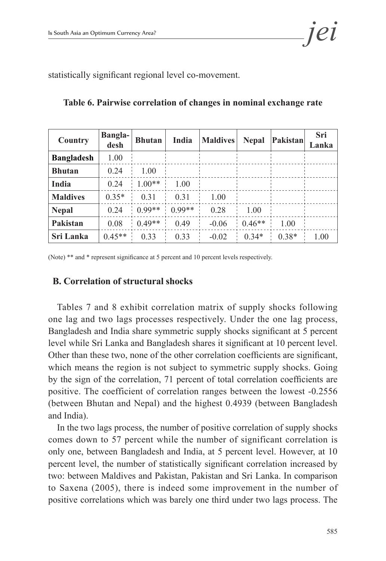statistically significant regional level co-movement.

| Country           | <b>Bangla-</b><br>desh | <b>Bhutan</b> | India    | <b>Maldives</b> | <b>Nepal</b> | <b>Pakistan</b> | Sri<br>Lanka |
|-------------------|------------------------|---------------|----------|-----------------|--------------|-----------------|--------------|
| <b>Bangladesh</b> | 1.00                   |               |          |                 |              |                 |              |
| <b>Bhutan</b>     | 0.24                   | 1.00          |          |                 |              |                 |              |
| India             | 0.24                   | $1.00**$      | 1.00     |                 |              |                 |              |
| <b>Maldives</b>   | $0.35*$                | 0 3 1         | 0 3 1    | 1.00            |              |                 |              |
| <b>Nepal</b>      | 0.24                   | $0.99**$      | $0.99**$ | 0.28            | 1.00         |                 |              |
| Pakistan          | 0.08                   | $0.49**$      | 0.49     | $-0.06$         | $0.46**$     | 1.00            |              |
| Sri Lanka         | $0.45**$               | 0.33          | 0.33     | $-0.02$         | $0.34*$      | $0.38*$         | 1.00         |

**Table 6. Pairwise correlation of changes in nominal exchange rate**

(Note) \*\* and \* represent significance at 5 percent and 10 percent levels respectively.

### **B. Correlation of structural shocks**

Tables 7 and 8 exhibit correlation matrix of supply shocks following one lag and two lags processes respectively. Under the one lag process, Bangladesh and India share symmetric supply shocks significant at 5 percent level while Sri Lanka and Bangladesh shares it significant at 10 percent level. Other than these two, none of the other correlation coefficients are significant, which means the region is not subject to symmetric supply shocks. Going by the sign of the correlation, 71 percent of total correlation coefficients are positive. The coefficient of correlation ranges between the lowest -0.2556 (between Bhutan and Nepal) and the highest 0.4939 (between Bangladesh and India).

In the two lags process, the number of positive correlation of supply shocks comes down to 57 percent while the number of significant correlation is only one, between Bangladesh and India, at 5 percent level. However, at 10 percent level, the number of statistically significant correlation increased by two: between Maldives and Pakistan, Pakistan and Sri Lanka. In comparison to Saxena (2005), there is indeed some improvement in the number of positive correlations which was barely one third under two lags process. The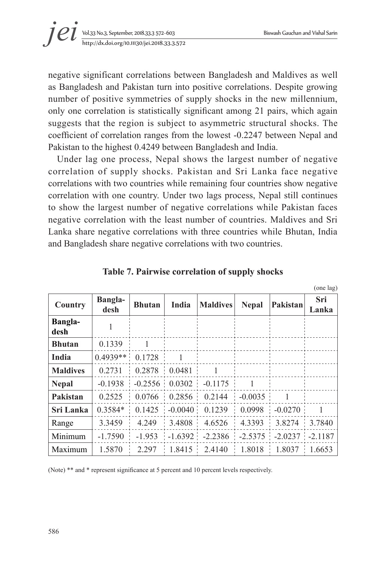(one lag)



negative significant correlations between Bangladesh and Maldives as well as Bangladesh and Pakistan turn into positive correlations. Despite growing number of positive symmetries of supply shocks in the new millennium, only one correlation is statistically significant among 21 pairs, which again suggests that the region is subject to asymmetric structural shocks. The coefficient of correlation ranges from the lowest -0.2247 between Nepal and Pakistan to the highest 0.4249 between Bangladesh and India.

Under lag one process, Nepal shows the largest number of negative correlation of supply shocks. Pakistan and Sri Lanka face negative correlations with two countries while remaining four countries show negative correlation with one country. Under two lags process, Nepal still continues to show the largest number of negative correlations while Pakistan faces negative correlation with the least number of countries. Maldives and Sri Lanka share negative correlations with three countries while Bhutan, India and Bangladesh share negative correlations with two countries.

| Country                | <b>Bangla-</b><br>desh | <b>Bhutan</b>                  | India          | <b>Maldives</b>                                                      | <b>Nepal</b>   | Pakistan       | Sri<br>Lanka |
|------------------------|------------------------|--------------------------------|----------------|----------------------------------------------------------------------|----------------|----------------|--------------|
| <b>Bangla-</b><br>desh |                        |                                |                |                                                                      |                |                |              |
| <b>Bhutan</b>          | 0.1339                 |                                |                |                                                                      |                |                |              |
| India                  | $0.4939**$ 0.1728      |                                | $\overline{1}$ |                                                                      |                |                |              |
| <b>Maldives</b>        |                        | $0.2731 \pm 0.2878 \pm 0.0481$ |                | $\blacksquare$                                                       |                |                |              |
| <b>Nepal</b>           |                        |                                |                | $-0.1938$ $-0.2556$ $0.0302$ $-0.1175$                               | $\overline{1}$ |                |              |
| Pakistan               |                        |                                |                | $0.2525$ $\mid$ 0.0766 $\mid$ 0.2856 $\mid$ 0.2144 $\mid$ -0.0035    |                | $\blacksquare$ |              |
| Sri Lanka              |                        |                                |                | $0.3584*$ $0.1425$ $-0.0040$ $0.1239$ $0.0998$ $-0.0270$ 1           |                |                |              |
| Range                  | 3.3459                 |                                |                | $4.249$   3.4808   4.6526   4.3393   3.8274   3.7840                 |                |                |              |
| Minimum                |                        |                                |                | $-1.7590$ $-1.953$ $-1.6392$ $-2.2386$ $-2.5375$ $-2.0237$ $-2.1187$ |                |                |              |
| Maximum                | 1.5870                 | 2.297                          |                | $1.8415$ 2.4140 1.8018 1.8037 1.6653                                 |                |                |              |

**Table 7. Pairwise correlation of supply shocks** 

(Note) \*\* and \* represent significance at 5 percent and 10 percent levels respectively.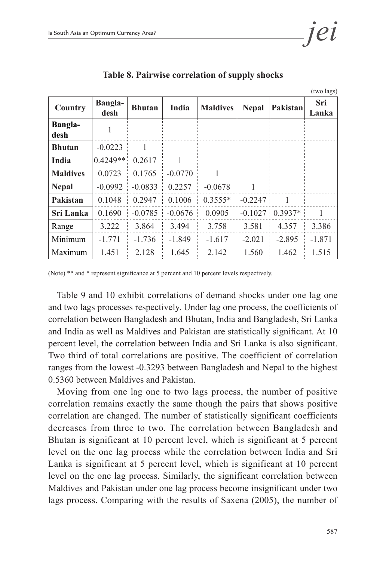|                        |                        |                   |                             |                                                |              |                         | (two lags)     |
|------------------------|------------------------|-------------------|-----------------------------|------------------------------------------------|--------------|-------------------------|----------------|
| Country                | <b>Bangla-</b><br>desh | <b>Bhutan</b>     | India                       | <b>Maldives</b>                                | <b>Nepal</b> | Pakistan                | Sri<br>Lanka   |
| <b>Bangla-</b><br>desh |                        |                   |                             |                                                |              |                         |                |
| <b>Bhutan</b>          | $-0.0223$              |                   |                             |                                                |              |                         |                |
| India                  |                        | $0.4249**$ 0.2617 | $\overline{1}$              |                                                |              |                         |                |
| <b>Maldives</b>        |                        |                   | $0.0723$ $0.1765$ $-0.0770$ | $\sim$ 1                                       |              |                         |                |
| <b>Nepal</b>           |                        |                   | $-0.0992$ $-0.0833$ 0.2257  | $-0.0678$                                      |              |                         |                |
| Pakistan               |                        |                   |                             | $0.1048$ $0.2947$ $0.1006$ $0.3555*$ $-0.2247$ |              | $\blacksquare$          |                |
| Sri Lanka              | 0.1690                 |                   | $-0.0785 - 0.0676$          | 0.0905                                         |              | $-0.1027 \div 0.3937$ * | $\overline{1}$ |
| Range                  | 3.222                  | 3.864             | 3.494<br>÷                  | 3.758                                          | 3.581        | 4.357<br>÷              | 3.386          |
| Minimum                | $-1.771$               |                   | $-1.736 - 1.849$            | $-1.617$                                       |              | $-2.021$ $-2.895$       | $-1.871$       |
| Maximum                | 1.451                  | 2 1 2 8           | 1.645                       | 2.142                                          | 1.560        | 1.462                   | 1.515          |

**Table 8. Pairwise correlation of supply shocks** 

(Note) \*\* and \* represent significance at 5 percent and 10 percent levels respectively.

Table 9 and 10 exhibit correlations of demand shocks under one lag one and two lags processes respectively. Under lag one process, the coefficients of correlation between Bangladesh and Bhutan, India and Bangladesh, Sri Lanka and India as well as Maldives and Pakistan are statistically significant. At 10 percent level, the correlation between India and Sri Lanka is also significant. Two third of total correlations are positive. The coefficient of correlation ranges from the lowest -0.3293 between Bangladesh and Nepal to the highest 0.5360 between Maldives and Pakistan.

Moving from one lag one to two lags process, the number of positive correlation remains exactly the same though the pairs that shows positive correlation are changed. The number of statistically significant coefficients decreases from three to two. The correlation between Bangladesh and Bhutan is significant at 10 percent level, which is significant at 5 percent level on the one lag process while the correlation between India and Sri Lanka is significant at 5 percent level, which is significant at 10 percent level on the one lag process. Similarly, the significant correlation between Maldives and Pakistan under one lag process become insignificant under two lags process. Comparing with the results of Saxena (2005), the number of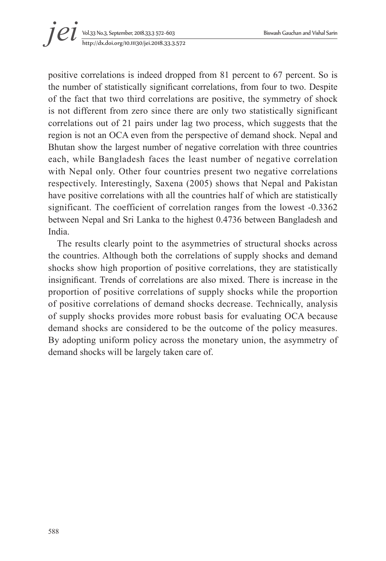# Vol.33 No.3, September, 2018.33.3 572~603 Biswash Gauchan and Vishal Sarin *i et y bl.33 No.3, September, 2018.33.3 572-603*<br>http://dx.doi.org/10.11130/jei.2018.33.3.572

positive correlations is indeed dropped from 81 percent to 67 percent. So is the number of statistically significant correlations, from four to two. Despite of the fact that two third correlations are positive, the symmetry of shock is not different from zero since there are only two statistically significant correlations out of 21 pairs under lag two process, which suggests that the region is not an OCA even from the perspective of demand shock. Nepal and Bhutan show the largest number of negative correlation with three countries each, while Bangladesh faces the least number of negative correlation with Nepal only. Other four countries present two negative correlations respectively. Interestingly, Saxena (2005) shows that Nepal and Pakistan have positive correlations with all the countries half of which are statistically significant. The coefficient of correlation ranges from the lowest -0.3362 between Nepal and Sri Lanka to the highest 0.4736 between Bangladesh and India.

The results clearly point to the asymmetries of structural shocks across the countries. Although both the correlations of supply shocks and demand shocks show high proportion of positive correlations, they are statistically insignificant. Trends of correlations are also mixed. There is increase in the proportion of positive correlations of supply shocks while the proportion of positive correlations of demand shocks decrease. Technically, analysis of supply shocks provides more robust basis for evaluating OCA because demand shocks are considered to be the outcome of the policy measures. By adopting uniform policy across the monetary union, the asymmetry of demand shocks will be largely taken care of.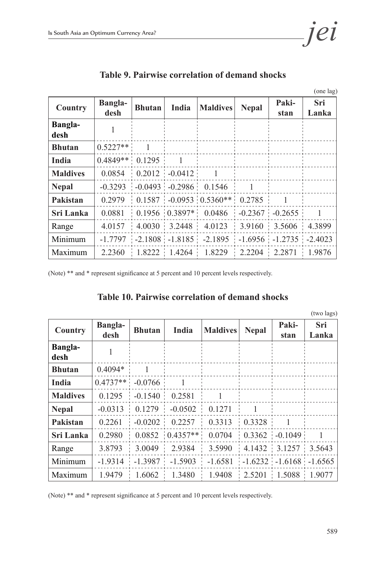|                        |                        |               |       |                                                                                |              |               | (one lag)    |
|------------------------|------------------------|---------------|-------|--------------------------------------------------------------------------------|--------------|---------------|--------------|
| Country                | <b>Bangla-</b><br>desh | <b>Bhutan</b> | India | <b>Maldives</b>                                                                | <b>Nepal</b> | Paki-<br>stan | Sri<br>Lanka |
| <b>Bangla-</b><br>desh |                        |               |       |                                                                                |              |               |              |
| <b>Bhutan</b>          | $0.5227**$ 1           |               |       |                                                                                |              |               |              |
| India                  | $0.4849**$ 0.1295 1    |               |       |                                                                                |              |               |              |
| <b>Maldives</b>        |                        |               |       | $0.0854$ $0.2012$ $-0.0412$ 1                                                  |              |               |              |
| <b>Nepal</b>           |                        |               |       | $-0.3293$ $-0.0493$ $-0.2986$ 0.1546 1                                         |              |               |              |
| Pakistan               |                        |               |       | $0.2979$   0.1587   -0.0953   0.5360**   0.2785   1                            |              |               |              |
| Sri Lanka              |                        |               |       | $0.0881 \div 0.1956 \div 0.3897* \div 0.0486 \div -0.2367 \div -0.2655 \div 1$ |              |               |              |
| Range                  |                        |               |       | $4.0157$   $4.0030$   $3.2448$   $4.0123$   $3.9160$   $3.5606$   $4.3899$     |              |               |              |
| Minimum                |                        |               |       | $-1.7797$ $-2.1808$ $-1.8185$ $-2.1895$ $-1.6956$ $-1.2735$ $-2.4023$          |              |               |              |
| Maximum                |                        |               |       | $2.2360$   1.8222   1.4264   1.8229   2.2204   2.2871   1.9876                 |              |               |              |

**Table 9. Pairwise correlation of demand shocks** 

(Note) \*\* and \* represent significance at 5 percent and 10 percent levels respectively.

|  |  |  | <b>Table 10. Pairwise correlation of demand shocks</b> |  |  |  |
|--|--|--|--------------------------------------------------------|--|--|--|
|--|--|--|--------------------------------------------------------|--|--|--|

|                        |                        |                             |                                   |                                                                               |              |                               | (two lags)   |
|------------------------|------------------------|-----------------------------|-----------------------------------|-------------------------------------------------------------------------------|--------------|-------------------------------|--------------|
| Country                | <b>Bangla-</b><br>desh | <b>Bhutan</b>               | India                             | <b>Maldives</b>                                                               | <b>Nepal</b> | Paki-<br>stan                 | Sri<br>Lanka |
| <b>Bangla-</b><br>desh |                        |                             |                                   |                                                                               |              |                               |              |
| <b>Bhutan</b>          | $0.4094*$              | $\blacksquare$              |                                   |                                                                               |              |                               |              |
| <b>India</b>           | $0.4737**$ -0.0766     |                             | $\overline{\phantom{0}}$          |                                                                               |              |                               |              |
| <b>Maldives</b>        |                        | $0.1295$ $-0.1540$ $0.2581$ |                                   |                                                                               |              |                               |              |
| <b>Nepal</b>           |                        |                             | $-0.0313$ 0.1279 $-0.0502$ 0.1271 |                                                                               |              |                               |              |
| Pakistan               | 0.2261                 |                             |                                   | $\vert$ -0.0202 $\vert$ 0.2257 $\vert$ 0.3313 $\vert$ 0.3328 $\vert$          |              | $\blacksquare$                |              |
| Sri Lanka              | 0.2980                 |                             |                                   | $\begin{bmatrix} 0.0852 & 0.4357** & 0.0704 & 0.3362 & -0.1049 \end{bmatrix}$ |              |                               |              |
| Range                  | 3.8793                 | 3.0049                      | 2.9384                            |                                                                               |              | $3.5990$ 4.1432 3.1257 3.5643 |              |
| Minimum                |                        |                             |                                   | $-1.9314$ $-1.3987$ $-1.5903$ $-1.6581$ $-1.6232$ $-1.6168$ $-1.6565$         |              |                               |              |
| Maximum                | 19479                  | 1.6062                      |                                   | $1.3480$ $1.9408$ $2.5201$ $1.5088$ $1.9077$                                  |              |                               |              |

(Note) \*\* and \* represent significance at 5 percent and 10 percent levels respectively.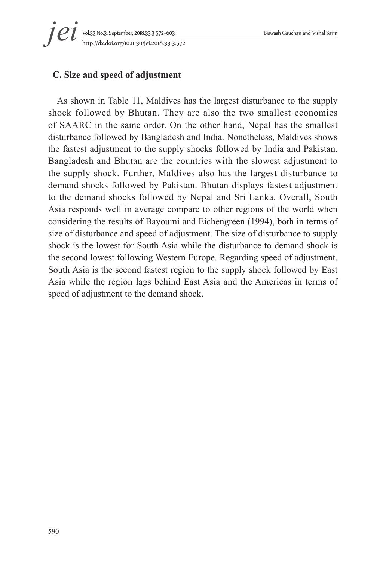# Vol.33 No.3, September, 2018.33.3 572~603 Biswash Gauchan and Vishal Sarin *i et y bl.33 No.3, September, 2018.33.3 572-603*<br>http://dx.doi.org/10.11130/jei.2018.33.3.572

# **C. Size and speed of adjustment**

As shown in Table 11, Maldives has the largest disturbance to the supply shock followed by Bhutan. They are also the two smallest economies of SAARC in the same order. On the other hand, Nepal has the smallest disturbance followed by Bangladesh and India. Nonetheless, Maldives shows the fastest adjustment to the supply shocks followed by India and Pakistan. Bangladesh and Bhutan are the countries with the slowest adjustment to the supply shock. Further, Maldives also has the largest disturbance to demand shocks followed by Pakistan. Bhutan displays fastest adjustment to the demand shocks followed by Nepal and Sri Lanka. Overall, South Asia responds well in average compare to other regions of the world when considering the results of Bayoumi and Eichengreen (1994), both in terms of size of disturbance and speed of adjustment. The size of disturbance to supply shock is the lowest for South Asia while the disturbance to demand shock is the second lowest following Western Europe. Regarding speed of adjustment, South Asia is the second fastest region to the supply shock followed by East Asia while the region lags behind East Asia and the Americas in terms of speed of adjustment to the demand shock.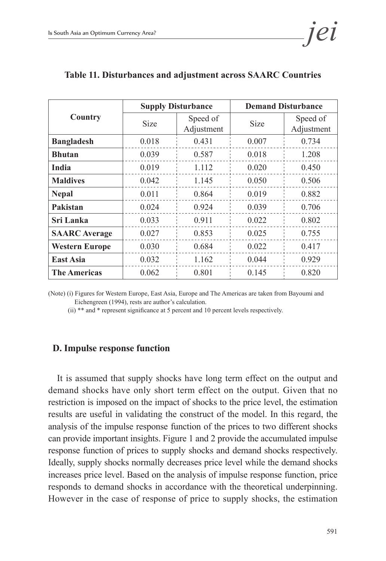|                       |             | <b>Supply Disturbance</b> | <b>Demand Disturbance</b> |                        |  |  |
|-----------------------|-------------|---------------------------|---------------------------|------------------------|--|--|
| Country               | <b>Size</b> | Speed of<br>Adjustment    | <b>Size</b>               | Speed of<br>Adjustment |  |  |
| <b>Bangladesh</b>     | 0.018       | 0.431                     | 0.007                     | 0.734                  |  |  |
| <b>Bhutan</b>         | 0.039       | 0.587                     | 0.018                     | 1.208                  |  |  |
| India                 | 0.019       | 1.112                     | 0.020                     | 0.450                  |  |  |
| <b>Maldives</b>       | 0.042       | 1.145                     | 0.050                     | 0.506                  |  |  |
| <b>Nepal</b>          | 0.011       | 0.864                     | 0.019                     | 0.882                  |  |  |
| Pakistan              | 0.024       | 0.924                     | 0.039                     | 0.706                  |  |  |
| <b>Sri Lanka</b>      | 0.033       | 0.911                     | 0.022                     | 0.802                  |  |  |
| <b>SAARC</b> Average  | 0.027       | 0.853                     | 0.025                     | 0.755                  |  |  |
| <b>Western Europe</b> | 0.030       | 0.684                     | 0.022                     | 0.417                  |  |  |
| <b>East Asia</b>      | 0.032       | 1 1 6 2                   | 0.044                     | 0.929                  |  |  |
| <b>The Americas</b>   | 0.062       | 0.801                     | 0.145                     | 0.820                  |  |  |

#### **Table 11. Disturbances and adjustment across SAARC Countries**

(Note) (i) Figures for Western Europe, East Asia, Europe and The Americas are taken from Bayoumi and Eichengreen (1994), rests are author's calculation.

(ii) \*\* and \* represent significance at 5 percent and 10 percent levels respectively.

### **D. Impulse response function**

It is assumed that supply shocks have long term effect on the output and demand shocks have only short term effect on the output. Given that no restriction is imposed on the impact of shocks to the price level, the estimation results are useful in validating the construct of the model. In this regard, the analysis of the impulse response function of the prices to two different shocks can provide important insights. Figure 1 and 2 provide the accumulated impulse response function of prices to supply shocks and demand shocks respectively. Ideally, supply shocks normally decreases price level while the demand shocks increases price level. Based on the analysis of impulse response function, price responds to demand shocks in accordance with the theoretical underpinning. However in the case of response of price to supply shocks, the estimation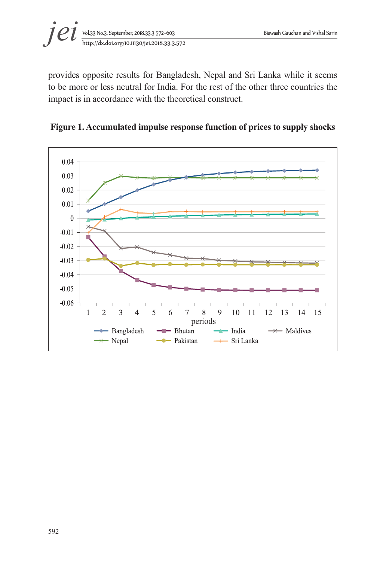

provides opposite results for Bangladesh, Nepal and Sri Lanka while it seems to be more or less neutral for India. For the rest of the other three countries the impact is in accordance with the theoretical construct.



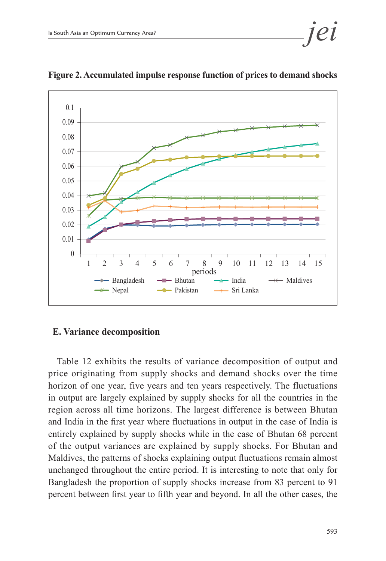

**Figure 2. Accumulated impulse response function of prices to demand shocks**

#### **E. Variance decomposition**

Table 12 exhibits the results of variance decomposition of output and price originating from supply shocks and demand shocks over the time horizon of one year, five years and ten years respectively. The fluctuations in output are largely explained by supply shocks for all the countries in the region across all time horizons. The largest difference is between Bhutan and India in the first year where fluctuations in output in the case of India is entirely explained by supply shocks while in the case of Bhutan 68 percent of the output variances are explained by supply shocks. For Bhutan and Maldives, the patterns of shocks explaining output fluctuations remain almost unchanged throughout the entire period. It is interesting to note that only for Bangladesh the proportion of supply shocks increase from 83 percent to 91 percent between first year to fifth year and beyond. In all the other cases, the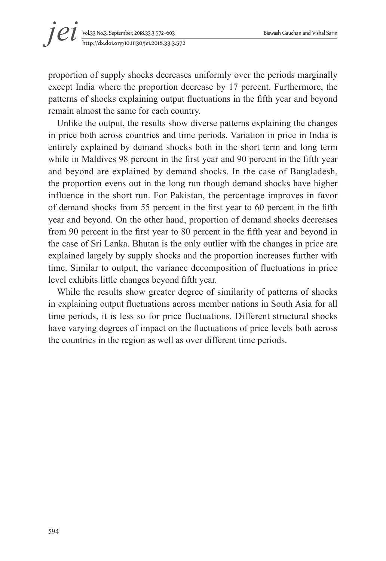proportion of supply shocks decreases uniformly over the periods marginally except India where the proportion decrease by 17 percent. Furthermore, the patterns of shocks explaining output fluctuations in the fifth year and beyond remain almost the same for each country.

Unlike the output, the results show diverse patterns explaining the changes in price both across countries and time periods. Variation in price in India is entirely explained by demand shocks both in the short term and long term while in Maldives 98 percent in the first year and 90 percent in the fifth year and beyond are explained by demand shocks. In the case of Bangladesh, the proportion evens out in the long run though demand shocks have higher influence in the short run. For Pakistan, the percentage improves in favor of demand shocks from 55 percent in the first year to 60 percent in the fifth year and beyond. On the other hand, proportion of demand shocks decreases from 90 percent in the first year to 80 percent in the fifth year and beyond in the case of Sri Lanka. Bhutan is the only outlier with the changes in price are explained largely by supply shocks and the proportion increases further with time. Similar to output, the variance decomposition of fluctuations in price level exhibits little changes beyond fifth year.

While the results show greater degree of similarity of patterns of shocks in explaining output fluctuations across member nations in South Asia for all time periods, it is less so for price fluctuations. Different structural shocks have varying degrees of impact on the fluctuations of price levels both across the countries in the region as well as over different time periods.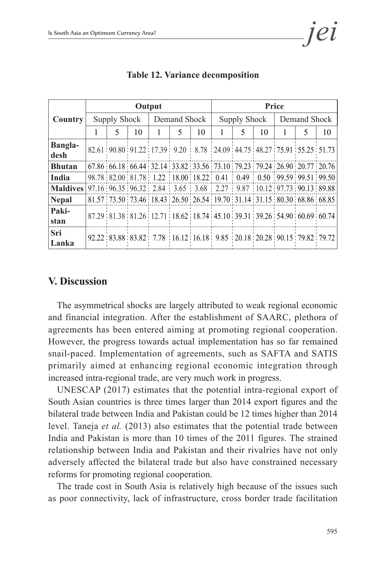|                                                                                    | Output              |             |                                                                                             |              |   |    | <b>Price</b> |             |    |              |               |    |
|------------------------------------------------------------------------------------|---------------------|-------------|---------------------------------------------------------------------------------------------|--------------|---|----|--------------|-------------|----|--------------|---------------|----|
| <b>Country</b>                                                                     | <b>Supply Shock</b> |             |                                                                                             | Demand Shock |   |    | Supply Shock |             |    | Demand Shock |               |    |
|                                                                                    |                     | $\varsigma$ | 10                                                                                          | $\mathbf{1}$ | 5 | 10 |              | $\varsigma$ | 10 | 1            | $\mathcal{F}$ | 10 |
| <b>Bangla-</b><br>desh                                                             |                     |             | 82.61 90.80 91.22 17.39 9.20 8.78 24.09 44.75 48.27 75.91 55.25 51.73                       |              |   |    |              |             |    |              |               |    |
| <b>Bhutan</b>                                                                      |                     |             | 67.86 66.18 66.44 32.14 33.82 33.56 73.10 79.23 79.24 26.90 20.77 20.76                     |              |   |    |              |             |    |              |               |    |
| India                                                                              |                     |             | 98.78   82.00   81.78   1.22   18.00   18.22   0.41   0.49   0.50   99.59   99.51   99.50   |              |   |    |              |             |    |              |               |    |
| <b>Maldives</b> 97.16 96.35 96.32 2.84 3.65 3.68 2.27 9.87 10.12 97.73 90.13 89.88 |                     |             |                                                                                             |              |   |    |              |             |    |              |               |    |
| <b>Nepal</b>                                                                       |                     |             | 81.57 73.50 73.46 18.43 26.50 26.54 19.70 31.14 31.15 80.30 68.86 68.85                     |              |   |    |              |             |    |              |               |    |
| Paki-<br>stan                                                                      |                     |             | 87.29 81.38 81.26 12.71 18.62 18.74 45.10 39.31 39.26 54.90 60.69 60.74                     |              |   |    |              |             |    |              |               |    |
| Sri<br>Lanka                                                                       |                     |             | 92.22   83.88   83.82   7.78   16.12   16.18   9.85   20.18   20.28   90.15   79.82   79.72 |              |   |    |              |             |    |              |               |    |

**Table 12. Variance decomposition**

### **V. Discussion**

The asymmetrical shocks are largely attributed to weak regional economic and financial integration. After the establishment of SAARC, plethora of agreements has been entered aiming at promoting regional cooperation. However, the progress towards actual implementation has so far remained snail-paced. Implementation of agreements, such as SAFTA and SATIS primarily aimed at enhancing regional economic integration through increased intra-regional trade, are very much work in progress.

UNESCAP (2017) estimates that the potential intra-regional export of South Asian countries is three times larger than 2014 export figures and the bilateral trade between India and Pakistan could be 12 times higher than 2014 level. Taneja *et al.* (2013) also estimates that the potential trade between India and Pakistan is more than 10 times of the 2011 figures. The strained relationship between India and Pakistan and their rivalries have not only adversely affected the bilateral trade but also have constrained necessary reforms for promoting regional cooperation.

The trade cost in South Asia is relatively high because of the issues such as poor connectivity, lack of infrastructure, cross border trade facilitation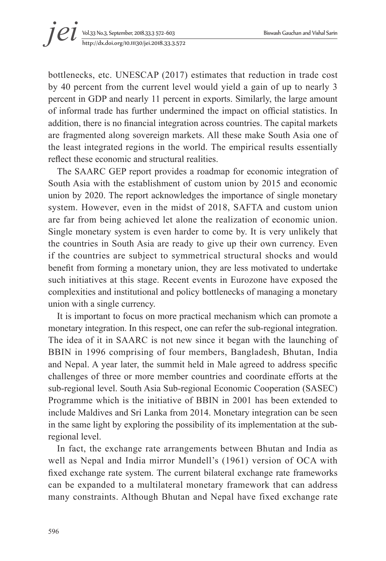# Vol.33 No.3, September, 2018.33.3 572~603 Biswash Gauchan and Vishal Sarin http://dx.doi.org/10.11130/jei.2018.33.3.572 *jei*

bottlenecks, etc. UNESCAP (2017) estimates that reduction in trade cost by 40 percent from the current level would yield a gain of up to nearly 3 percent in GDP and nearly 11 percent in exports. Similarly, the large amount of informal trade has further undermined the impact on official statistics. In addition, there is no financial integration across countries. The capital markets are fragmented along sovereign markets. All these make South Asia one of the least integrated regions in the world. The empirical results essentially reflect these economic and structural realities.

The SAARC GEP report provides a roadmap for economic integration of South Asia with the establishment of custom union by 2015 and economic union by 2020. The report acknowledges the importance of single monetary system. However, even in the midst of 2018, SAFTA and custom union are far from being achieved let alone the realization of economic union. Single monetary system is even harder to come by. It is very unlikely that the countries in South Asia are ready to give up their own currency. Even if the countries are subject to symmetrical structural shocks and would benefit from forming a monetary union, they are less motivated to undertake such initiatives at this stage. Recent events in Eurozone have exposed the complexities and institutional and policy bottlenecks of managing a monetary union with a single currency.

It is important to focus on more practical mechanism which can promote a monetary integration. In this respect, one can refer the sub-regional integration. The idea of it in SAARC is not new since it began with the launching of BBIN in 1996 comprising of four members, Bangladesh, Bhutan, India and Nepal. A year later, the summit held in Male agreed to address specific challenges of three or more member countries and coordinate efforts at the sub-regional level. South Asia Sub-regional Economic Cooperation (SASEC) Programme which is the initiative of BBIN in 2001 has been extended to include Maldives and Sri Lanka from 2014. Monetary integration can be seen in the same light by exploring the possibility of its implementation at the subregional level.

In fact, the exchange rate arrangements between Bhutan and India as well as Nepal and India mirror Mundell's (1961) version of OCA with fixed exchange rate system. The current bilateral exchange rate frameworks can be expanded to a multilateral monetary framework that can address many constraints. Although Bhutan and Nepal have fixed exchange rate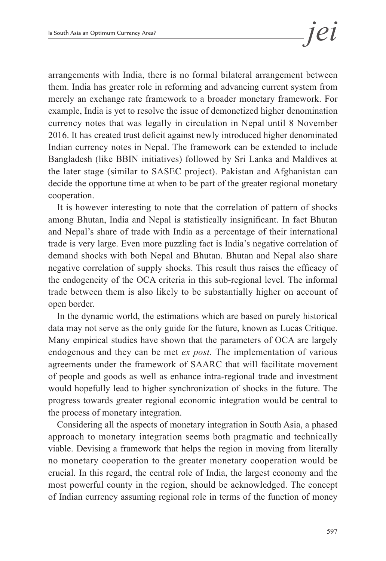arrangements with India, there is no formal bilateral arrangement between them. India has greater role in reforming and advancing current system from merely an exchange rate framework to a broader monetary framework. For example, India is yet to resolve the issue of demonetized higher denomination currency notes that was legally in circulation in Nepal until 8 November 2016. It has created trust deficit against newly introduced higher denominated Indian currency notes in Nepal. The framework can be extended to include Bangladesh (like BBIN initiatives) followed by Sri Lanka and Maldives at the later stage (similar to SASEC project). Pakistan and Afghanistan can decide the opportune time at when to be part of the greater regional monetary cooperation.

It is however interesting to note that the correlation of pattern of shocks among Bhutan, India and Nepal is statistically insignificant. In fact Bhutan and Nepal's share of trade with India as a percentage of their international trade is very large. Even more puzzling fact is India's negative correlation of demand shocks with both Nepal and Bhutan. Bhutan and Nepal also share negative correlation of supply shocks. This result thus raises the efficacy of the endogeneity of the OCA criteria in this sub-regional level. The informal trade between them is also likely to be substantially higher on account of open border.

In the dynamic world, the estimations which are based on purely historical data may not serve as the only guide for the future, known as Lucas Critique. Many empirical studies have shown that the parameters of OCA are largely endogenous and they can be met *ex post.* The implementation of various agreements under the framework of SAARC that will facilitate movement of people and goods as well as enhance intra-regional trade and investment would hopefully lead to higher synchronization of shocks in the future. The progress towards greater regional economic integration would be central to the process of monetary integration.

Considering all the aspects of monetary integration in South Asia, a phased approach to monetary integration seems both pragmatic and technically viable. Devising a framework that helps the region in moving from literally no monetary cooperation to the greater monetary cooperation would be crucial. In this regard, the central role of India, the largest economy and the most powerful county in the region, should be acknowledged. The concept of Indian currency assuming regional role in terms of the function of money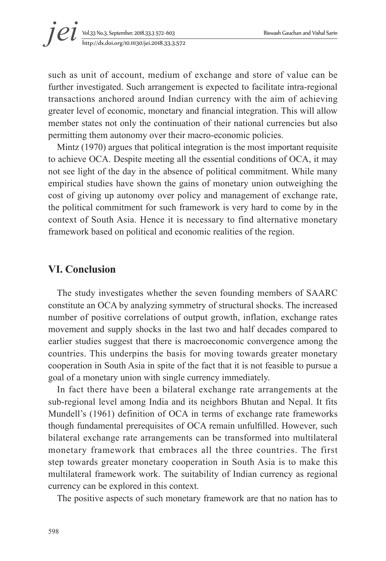

such as unit of account, medium of exchange and store of value can be further investigated. Such arrangement is expected to facilitate intra-regional transactions anchored around Indian currency with the aim of achieving greater level of economic, monetary and financial integration. This will allow member states not only the continuation of their national currencies but also permitting them autonomy over their macro-economic policies.

Mintz (1970) argues that political integration is the most important requisite to achieve OCA. Despite meeting all the essential conditions of OCA, it may not see light of the day in the absence of political commitment. While many empirical studies have shown the gains of monetary union outweighing the cost of giving up autonomy over policy and management of exchange rate, the political commitment for such framework is very hard to come by in the context of South Asia. Hence it is necessary to find alternative monetary framework based on political and economic realities of the region.

# **VI. Conclusion**

The study investigates whether the seven founding members of SAARC constitute an OCA by analyzing symmetry of structural shocks. The increased number of positive correlations of output growth, inflation, exchange rates movement and supply shocks in the last two and half decades compared to earlier studies suggest that there is macroeconomic convergence among the countries. This underpins the basis for moving towards greater monetary cooperation in South Asia in spite of the fact that it is not feasible to pursue a goal of a monetary union with single currency immediately.

In fact there have been a bilateral exchange rate arrangements at the sub-regional level among India and its neighbors Bhutan and Nepal. It fits Mundell's (1961) definition of OCA in terms of exchange rate frameworks though fundamental prerequisites of OCA remain unfulfilled. However, such bilateral exchange rate arrangements can be transformed into multilateral monetary framework that embraces all the three countries. The first step towards greater monetary cooperation in South Asia is to make this multilateral framework work. The suitability of Indian currency as regional currency can be explored in this context.

The positive aspects of such monetary framework are that no nation has to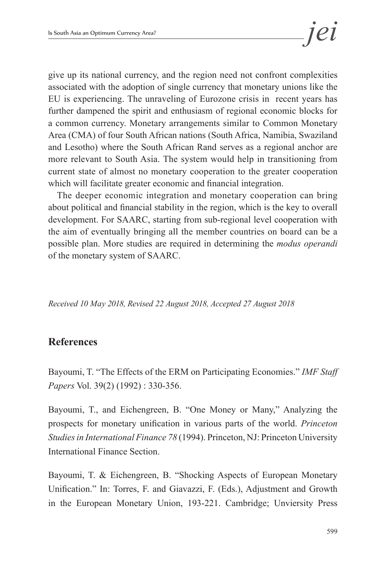give up its national currency, and the region need not confront complexities associated with the adoption of single currency that monetary unions like the EU is experiencing. The unraveling of Eurozone crisis in recent years has further dampened the spirit and enthusiasm of regional economic blocks for a common currency. Monetary arrangements similar to Common Monetary Area (CMA) of four South African nations (South Africa, Namibia, Swaziland and Lesotho) where the South African Rand serves as a regional anchor are more relevant to South Asia. The system would help in transitioning from current state of almost no monetary cooperation to the greater cooperation which will facilitate greater economic and financial integration.

The deeper economic integration and monetary cooperation can bring about political and financial stability in the region, which is the key to overall development. For SAARC, starting from sub-regional level cooperation with the aim of eventually bringing all the member countries on board can be a possible plan. More studies are required in determining the *modus operandi* of the monetary system of SAARC.

*Received 10 May 2018, Revised 22 August 2018, Accepted 27 August 2018*

# **References**

Bayoumi, T. "The Effects of the ERM on Participating Economies." *IMF Staff Papers* Vol. 39(2) (1992) : 330-356.

Bayoumi, T., and Eichengreen, B. "One Money or Many," Analyzing the prospects for monetary unification in various parts of the world. *Princeton Studies in International Finance 78* (1994). Princeton, NJ: Princeton University International Finance Section.

Bayoumi, T. & Eichengreen, B. "Shocking Aspects of European Monetary Unification." In: Torres, F. and Giavazzi, F. (Eds.), Adjustment and Growth in the European Monetary Union, 193-221. Cambridge; Unviersity Press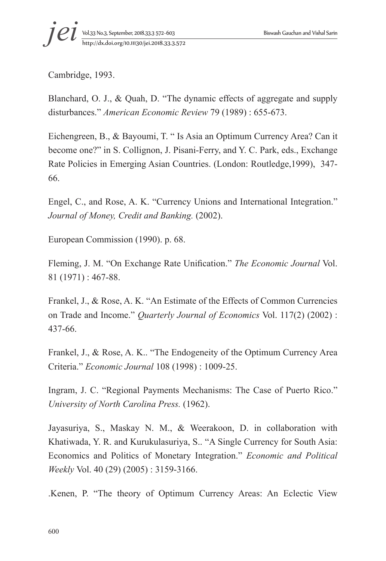Cambridge, 1993.

Blanchard, O. J., & Quah, D. "The dynamic effects of aggregate and supply disturbances." *American Economic Review* 79 (1989) : 655-673.

Eichengreen, B., & Bayoumi, T. " Is Asia an Optimum Currency Area? Can it become one?" in S. Collignon, J. Pisani-Ferry, and Y. C. Park, eds., Exchange Rate Policies in Emerging Asian Countries. (London: Routledge,1999), 347- 66.

Engel, C., and Rose, A. K. "Currency Unions and International Integration." *Journal of Money, Credit and Banking.* (2002).

European Commission (1990). p. 68.

Fleming, J. M. "On Exchange Rate Unification." *The Economic Journal* Vol. 81 (1971) : 467-88.

Frankel, J., & Rose, A. K. "An Estimate of the Effects of Common Currencies on Trade and Income." *Quarterly Journal of Economics* Vol. 117(2) (2002) : 437-66.

Frankel, J., & Rose, A. K.. "The Endogeneity of the Optimum Currency Area Criteria." *Economic Journal* 108 (1998) : 1009-25.

Ingram, J. C. "Regional Payments Mechanisms: The Case of Puerto Rico." *University of North Carolina Press.* (1962).

Jayasuriya, S., Maskay N. M., & Weerakoon, D. in collaboration with Khatiwada, Y. R. and Kurukulasuriya, S.. "A Single Currency for South Asia: Economics and Politics of Monetary Integration." *Economic and Political Weekly* Vol. 40 (29) (2005) : 3159-3166.

.Kenen, P. "The theory of Optimum Currency Areas: An Eclectic View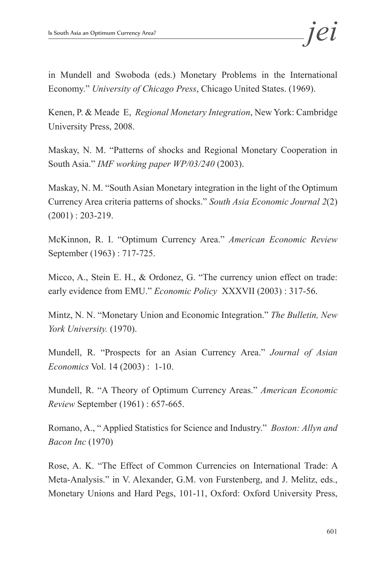in Mundell and Swoboda (eds.) Monetary Problems in the International Economy." *University of Chicago Press*, Chicago United States. (1969).

Kenen, P. & Meade E, *Regional Monetary Integration*, New York: Cambridge University Press, 2008.

Maskay, N. M. "Patterns of shocks and Regional Monetary Cooperation in South Asia." *IMF working paper WP/03/240* (2003).

Maskay, N. M. "South Asian Monetary integration in the light of the Optimum Currency Area criteria patterns of shocks." *South Asia Economic Journal 2*(2) (2001) : 203-219.

McKinnon, R. I. "Optimum Currency Area." *American Economic Review*  September (1963) : 717-725.

Micco, A., Stein E. H., & Ordonez, G. "The currency union effect on trade: early evidence from EMU." *Economic Policy* XXXVII (2003) : 317-56.

Mintz, N. N. "Monetary Union and Economic Integration." *The Bulletin, New York University.* (1970).

Mundell, R. "Prospects for an Asian Currency Area." *Journal of Asian Economics* Vol. 14 (2003) : 1-10.

Mundell, R. "A Theory of Optimum Currency Areas." *American Economic Review* September (1961) : 657-665.

Romano, A., " Applied Statistics for Science and Industry." *Boston: Allyn and Bacon Inc* (1970)

Rose, A. K. "The Effect of Common Currencies on International Trade: A Meta-Analysis." in V. Alexander, G.M. von Furstenberg, and J. Melitz, eds., Monetary Unions and Hard Pegs, 101-11, Oxford: Oxford University Press,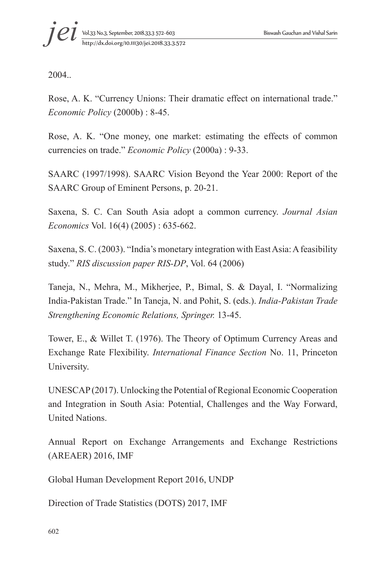2004..

Rose, A. K. "Currency Unions: Their dramatic effect on international trade." *Economic Policy* (2000b) : 8-45.

Rose, A. K. "One money, one market: estimating the effects of common currencies on trade." *Economic Policy* (2000a) : 9-33.

SAARC (1997/1998). SAARC Vision Beyond the Year 2000: Report of the SAARC Group of Eminent Persons, p. 20-21.

Saxena, S. C. Can South Asia adopt a common currency. *Journal Asian Economics* Vol. 16(4) (2005) : 635-662.

Saxena, S. C. (2003). "India's monetary integration with East Asia: A feasibility study." *RIS discussion paper RIS-DP*, Vol. 64 (2006)

Taneja, N., Mehra, M., Mikherjee, P., Bimal, S. & Dayal, I. "Normalizing India-Pakistan Trade." In Taneja, N. and Pohit, S. (eds.). *India-Pakistan Trade Strengthening Economic Relations, Springer.* 13-45.

Tower, E., & Willet T. (1976). The Theory of Optimum Currency Areas and Exchange Rate Flexibility. *International Finance Section* No. 11, Princeton University.

UNESCAP (2017). Unlocking the Potential of Regional Economic Cooperation and Integration in South Asia: Potential, Challenges and the Way Forward, United Nations.

Annual Report on Exchange Arrangements and Exchange Restrictions (AREAER) 2016, IMF

Global Human Development Report 2016, UNDP

Direction of Trade Statistics (DOTS) 2017, IMF